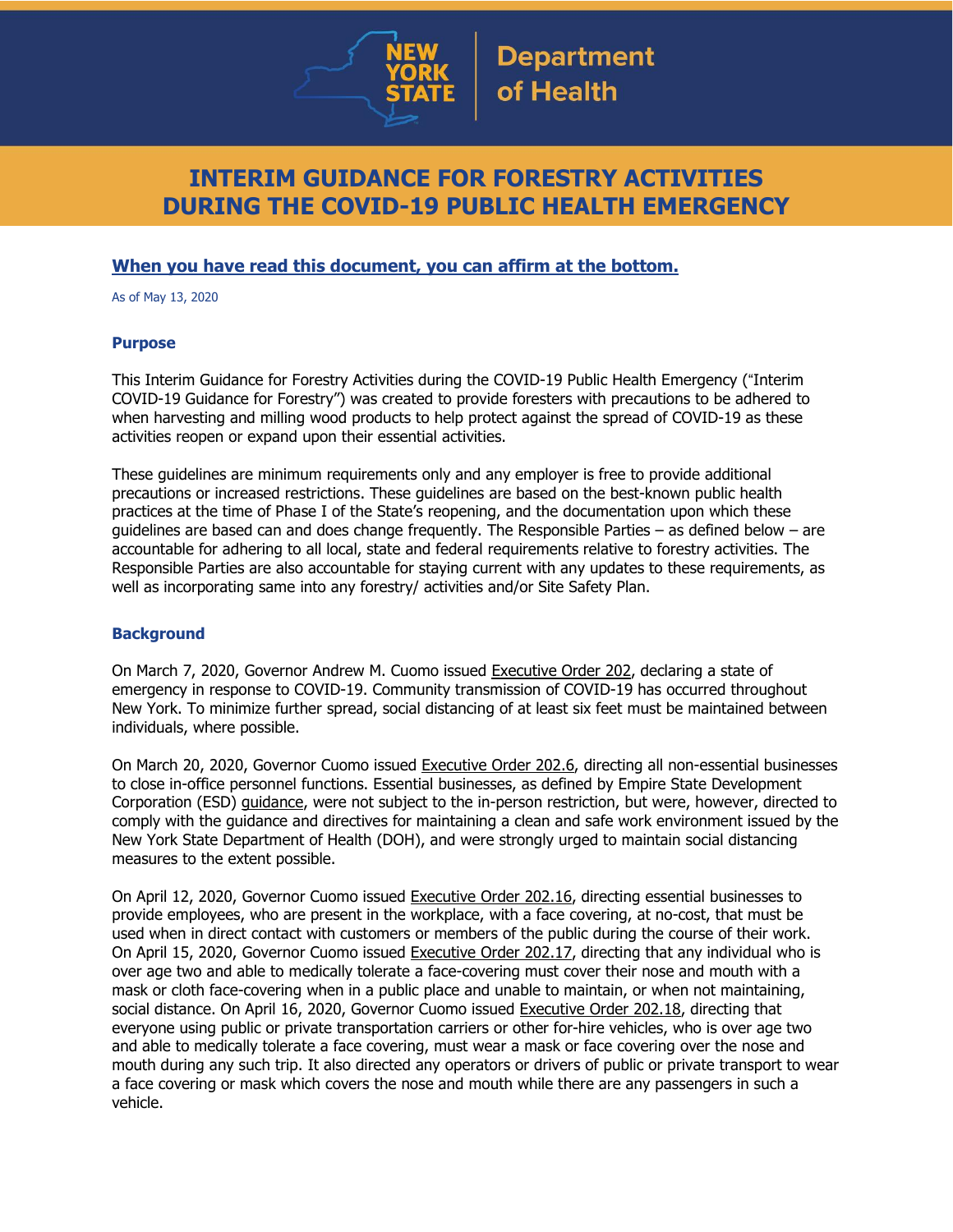

# **INTERIM GUIDANCE FOR FORESTRY ACTIVITIES DURING THE COVID-19 PUBLIC HEALTH EMERGENCY**

## **When you have read this document, you can affirm at the bottom.**

As of May 13, 2020

### **Purpose**

This Interim Guidance for Forestry Activities during the COVID-19 Public Health Emergency ("Interim COVID-19 Guidance for Forestry") was created to provide foresters with precautions to be adhered to when harvesting and milling wood products to help protect against the spread of COVID-19 as these activities reopen or expand upon their essential activities.

These guidelines are minimum requirements only and any employer is free to provide additional precautions or increased restrictions. These guidelines are based on the best-known public health practices at the time of Phase I of the State's reopening, and the documentation upon which these guidelines are based can and does change frequently. The Responsible Parties – as defined below – are accountable for adhering to all local, state and federal requirements relative to forestry activities. The Responsible Parties are also accountable for staying current with any updates to these requirements, as well as incorporating same into any forestry/ activities and/or Site Safety Plan.

### **Background**

On March 7, 2020, Governor Andrew M. Cuomo issued [Executive](https://www.governor.ny.gov/news/no-202-declaring-disaster-emergency-state-new-york) Order 202, declaring a state of emergency in response to COVID-19. Community transmission of COVID-19 has occurred throughout New York. To minimize further spread, social distancing of at least six feet must be maintained between individuals, where possible.

On March 20, 2020, Governor Cuomo issued [Executive](https://www.governor.ny.gov/news/no-2026-continuing-temporary-suspension-and-modification-laws-relating-disaster-emergency) Order 202.6, directing all non-essential businesses to close in-office personnel functions. Essential businesses, as defined by Empire State Development Corporation (ESD) [guidance,](https://esd.ny.gov/guidance-executive-order-2026) were not subject to the in-person restriction, but were, however, directed to comply with the guidance and directives for maintaining a clean and safe work environment issued by the New York State Department of Health (DOH), and were strongly urged to maintain social distancing measures to the extent possible.

On April 12, 2020, Governor Cuomo issued [Executive](https://www.governor.ny.gov/news/no-20216-continuing-temporary-suspension-and-modification-laws-relating-disaster-emergency) Order 202.16, directing essential businesses to provide employees, who are present in the workplace, with a face covering, at no-cost, that must be used when in direct contact with customers or members of the public during the course of their work. On April 15, 2020, Governor Cuomo issued [Executive](https://www.governor.ny.gov/news/no-20217-continuing-temporary-suspension-and-modification-laws-relating-disaster-emergency) Order 202.17, directing that any individual who is over age two and able to medically tolerate a face-covering must cover their nose and mouth with a mask or cloth face-covering when in a public place and unable to maintain, or when not maintaining, social distance. On April 16, 2020, Governor Cuomo issued [Executive](https://www.governor.ny.gov/news/no-20218-continuing-temporary-suspension-and-modification-laws-relating-disaster-emergency) Order 202.18, directing that everyone using public or private transportation carriers or other for-hire vehicles, who is over age two and able to medically tolerate a face covering, must wear a mask or face covering over the nose and mouth during any such trip. It also directed any operators or drivers of public or private transport to wear a face covering or mask which covers the nose and mouth while there are any passengers in such a vehicle.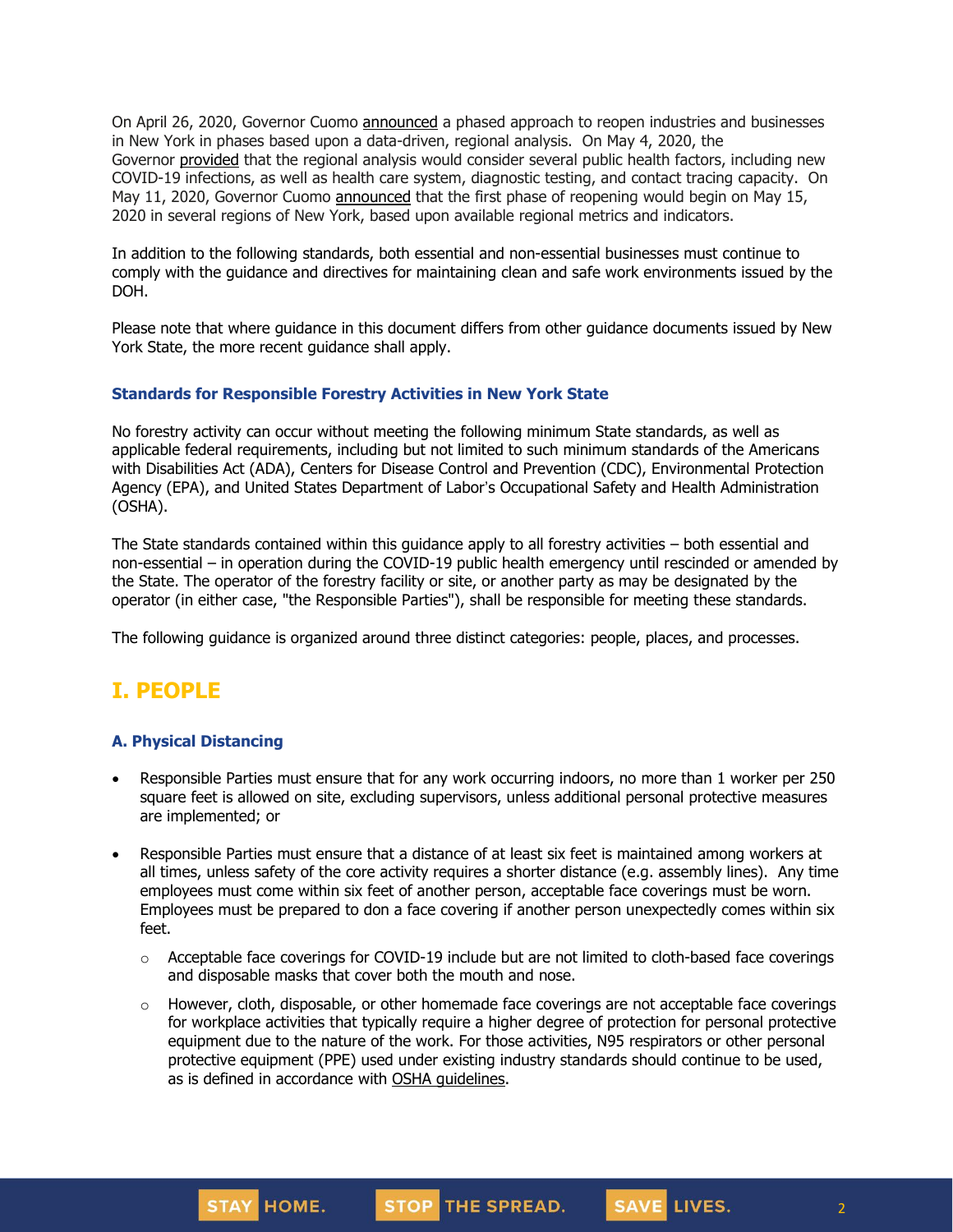On April 26, 2020, Governor Cuomo [announced](https://www.governor.ny.gov/news/amid-ongoing-covid-19-pandemic-governor-cuomo-outlines-phased-plan-re-open-new-york-starting) a phased approach to reopen industries and businesses in New York in phases based upon a data-driven, regional analysis. On May 4, 2020, the Governor [provided](https://www.governor.ny.gov/news/amid-ongoing-covid-19-pandemic-governor-cuomo-outlines-additional-guidelines-when-regions-can) that the regional analysis would consider several public health factors, including new COVID-19 infections, as well as health care system, diagnostic testing, and contact tracing capacity. On May 11, 2020, Governor Cuomo [announced](https://www.governor.ny.gov/news/amid-ongoing-covid-19-pandemic-governor-cuomo-announces-three-regions-new-york-state-ready) that the first phase of reopening would begin on May 15, 2020 in several regions of New York, based upon available regional metrics and indicators.

In addition to the following standards, both essential and non-essential businesses must continue to comply with the guidance and directives for maintaining clean and safe work environments issued by the DOH.

Please note that where guidance in this document differs from other guidance documents issued by New York State, the more recent guidance shall apply.

#### **Standards for Responsible Forestry Activities in New York State**

No forestry activity can occur without meeting the following minimum State standards, as well as applicable federal requirements, including but not limited to such minimum standards of the Americans with Disabilities Act (ADA), Centers for Disease Control and Prevention (CDC), Environmental Protection Agency (EPA), and United States Department of Labor's Occupational Safety and Health Administration (OSHA).

The State standards contained within this guidance apply to all forestry activities – both essential and non-essential – in operation during the COVID-19 public health emergency until rescinded or amended by the State. The operator of the forestry facility or site, or another party as may be designated by the operator (in either case, "the Responsible Parties"), shall be responsible for meeting these standards.

The following guidance is organized around three distinct categories: people, places, and processes.

# **I. PEOPLE**

### **A. Physical Distancing**

- Responsible Parties must ensure that for any work occurring indoors, no more than 1 worker per 250 square feet is allowed on site, excluding supervisors, unless additional personal protective measures are implemented; or
- Responsible Parties must ensure that a distance of at least six feet is maintained among workers at all times, unless safety of the core activity requires a shorter distance (e.g. assembly lines). Any time employees must come within six feet of another person, acceptable face coverings must be worn. Employees must be prepared to don a face covering if another person unexpectedly comes within six feet.
	- $\circ$  Acceptable face coverings for COVID-19 include but are not limited to cloth-based face coverings and disposable masks that cover both the mouth and nose.
	- $\circ$  However, cloth, disposable, or other homemade face coverings are not acceptable face coverings for workplace activities that typically require a higher degree of protection for personal protective equipment due to the nature of the work. For those activities, N95 respirators or other personal protective equipment (PPE) used under existing industry standards should continue to be used, as is defined in accordance with OSHA quidelines.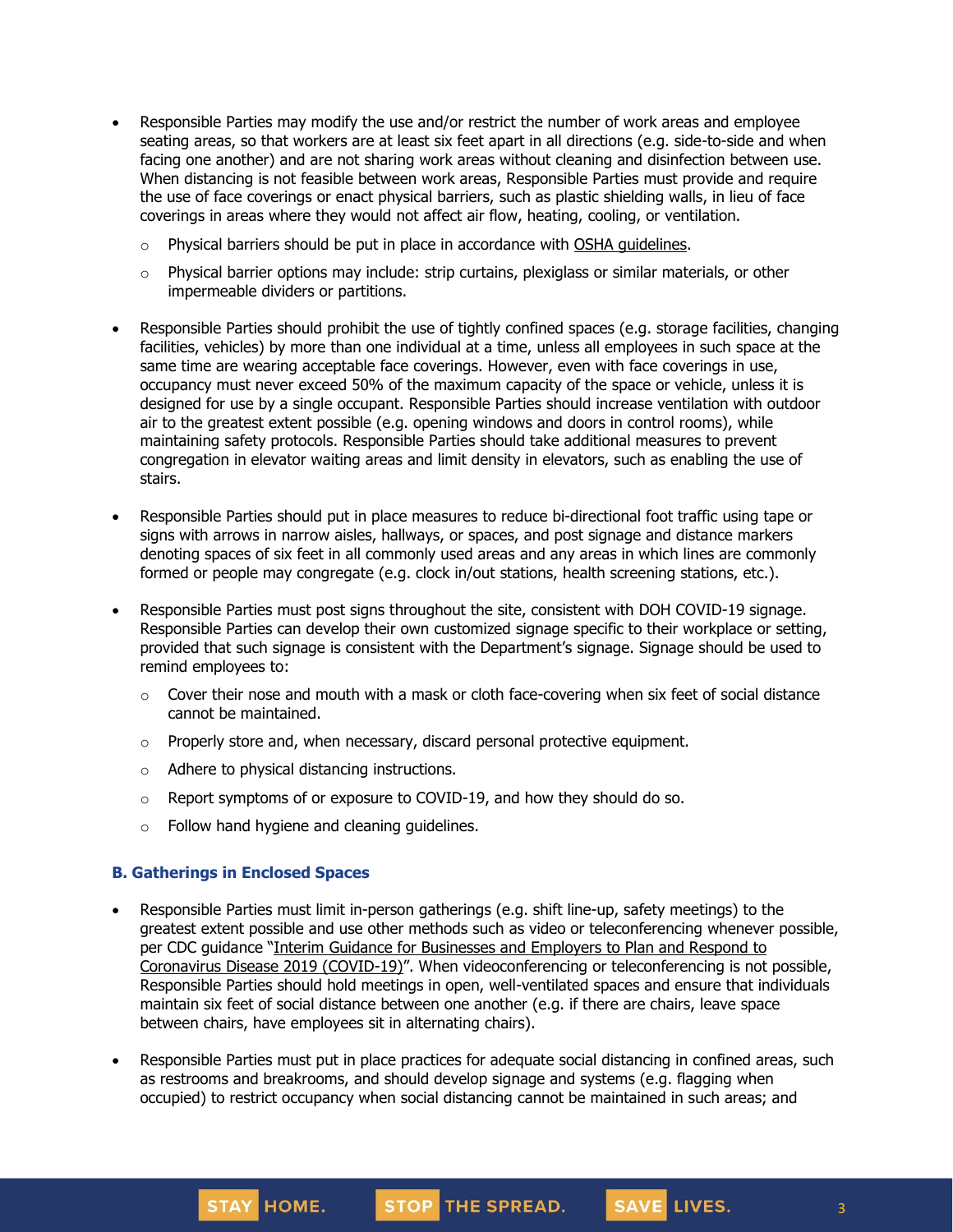- Responsible Parties may modify the use and/or restrict the number of work areas and employee seating areas, so that workers are at least six feet apart in all directions (e.g. side-to-side and when facing one another) and are not sharing work areas without cleaning and disinfection between use. When distancing is not feasible between work areas, Responsible Parties must provide and require the use of face coverings or enact physical barriers, such as plastic shielding walls, in lieu of face coverings in areas where they would not affect air flow, heating, cooling, or ventilation.
	- o Physical barriers should be put in place in accordance with OSHA [guidelines.](https://www.osha.gov/Publications/OSHA3990.pdf)
	- $\circ$  Physical barrier options may include: strip curtains, plexiglass or similar materials, or other impermeable dividers or partitions.
- Responsible Parties should prohibit the use of tightly confined spaces (e.g. storage facilities, changing facilities, vehicles) by more than one individual at a time, unless all employees in such space at the same time are wearing acceptable face coverings. However, even with face coverings in use, occupancy must never exceed 50% of the maximum capacity of the space or vehicle, unless it is designed for use by a single occupant. Responsible Parties should increase ventilation with outdoor air to the greatest extent possible (e.g. opening windows and doors in control rooms), while maintaining safety protocols. Responsible Parties should take additional measures to prevent congregation in elevator waiting areas and limit density in elevators, such as enabling the use of stairs.
- Responsible Parties should put in place measures to reduce bi-directional foot traffic using tape or signs with arrows in narrow aisles, hallways, or spaces, and post signage and distance markers denoting spaces of six feet in all commonly used areas and any areas in which lines are commonly formed or people may congregate (e.g. clock in/out stations, health screening stations, etc.).
- Responsible Parties must post signs throughout the site, consistent with DOH COVID-19 signage. Responsible Parties can develop their own customized signage specific to their workplace or setting, provided that such signage is consistent with the Department's signage. Signage should be used to remind employees to:
	- $\circ$  Cover their nose and mouth with a mask or cloth face-covering when six feet of social distance cannot be maintained.
	- o Properly store and, when necessary, discard personal protective equipment.
	- o Adhere to physical distancing instructions.
	- o Report symptoms of or exposure to COVID-19, and how they should do so.
	- o Follow hand hygiene and cleaning guidelines.

### **B. Gatherings in Enclosed Spaces**

- Responsible Parties must limit in-person gatherings (e.g. shift line-up, safety meetings) to the greatest extent possible and use other methods such as video or teleconferencing whenever possible, per CDC guidance "Interim Guidance for [Businesses](https://www.cdc.gov/coronavirus/2019-ncov/community/guidance-business-response.html) and Employers to Plan and Respond to [Coronavirus](https://www.cdc.gov/coronavirus/2019-ncov/community/guidance-business-response.html) Disease 2019 (COVID-19)". When videoconferencing or teleconferencing is not possible, Responsible Parties should hold meetings in open, well-ventilated spaces and ensure that individuals maintain six feet of social distance between one another (e.g. if there are chairs, leave space between chairs, have employees sit in alternating chairs).
- Responsible Parties must put in place practices for adequate social distancing in confined areas, such as restrooms and breakrooms, and should develop signage and systems (e.g. flagging when occupied) to restrict occupancy when social distancing cannot be maintained in such areas; and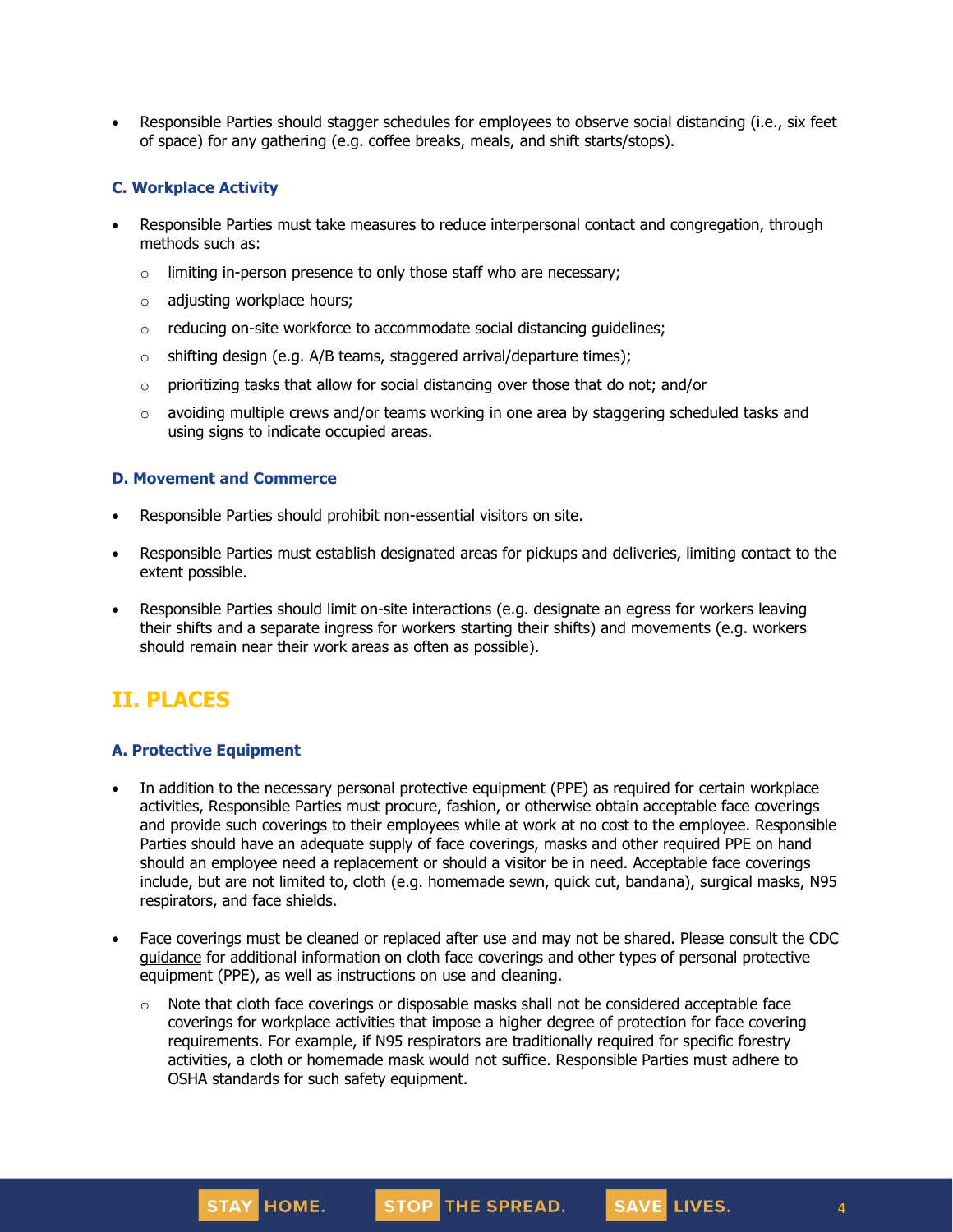• Responsible Parties should stagger schedules for employees to observe social distancing (i.e., six feet of space) for any gathering (e.g. coffee breaks, meals, and shift starts/stops).

### **C. Workplace Activity**

- Responsible Parties must take measures to reduce interpersonal contact and congregation, through methods such as:
	- $\circ$  limiting in-person presence to only those staff who are necessary;
	- o adjusting workplace hours;
	- o reducing on-site workforce to accommodate social distancing guidelines;
	- $\circ$  shifting design (e.g. A/B teams, staggered arrival/departure times);
	- o prioritizing tasks that allow for social distancing over those that do not; and/or
	- $\circ$  avoiding multiple crews and/or teams working in one area by staggering scheduled tasks and using signs to indicate occupied areas.

### **D. Movement and Commerce**

- Responsible Parties should prohibit non-essential visitors on site.
- Responsible Parties must establish designated areas for pickups and deliveries, limiting contact to the extent possible.
- Responsible Parties should limit on-site interactions (e.g. designate an egress for workers leaving their shifts and a separate ingress for workers starting their shifts) and movements (e.g. workers should remain near their work areas as often as possible).

# **II. PLACES**

### **A. Protective Equipment**

- In addition to the necessary personal protective equipment (PPE) as required for certain workplace activities, Responsible Parties must procure, fashion, or otherwise obtain acceptable face coverings and provide such coverings to their employees while at work at no cost to the employee. Responsible Parties should have an adequate supply of face coverings, masks and other required PPE on hand should an employee need a replacement or should a visitor be in need. Acceptable face coverings include, but are not limited to, cloth (e.g. homemade sewn, quick cut, bandana), surgical masks, N95 respirators, and face shields.
- Face coverings must be cleaned or replaced after use and may not be shared. Please consult the CDC [guidance](https://www.cdc.gov/coronavirus/2019-ncov/community/guidance-business-response.html) for additional information on cloth face coverings and other types of personal protective equipment (PPE), as well as instructions on use and cleaning.
	- $\circ$  Note that cloth face coverings or disposable masks shall not be considered acceptable face coverings for workplace activities that impose a higher degree of protection for face covering requirements. For example, if N95 respirators are traditionally required for specific forestry activities, a cloth or homemade mask would not suffice. Responsible Parties must adhere to OSHA standards for such safety equipment.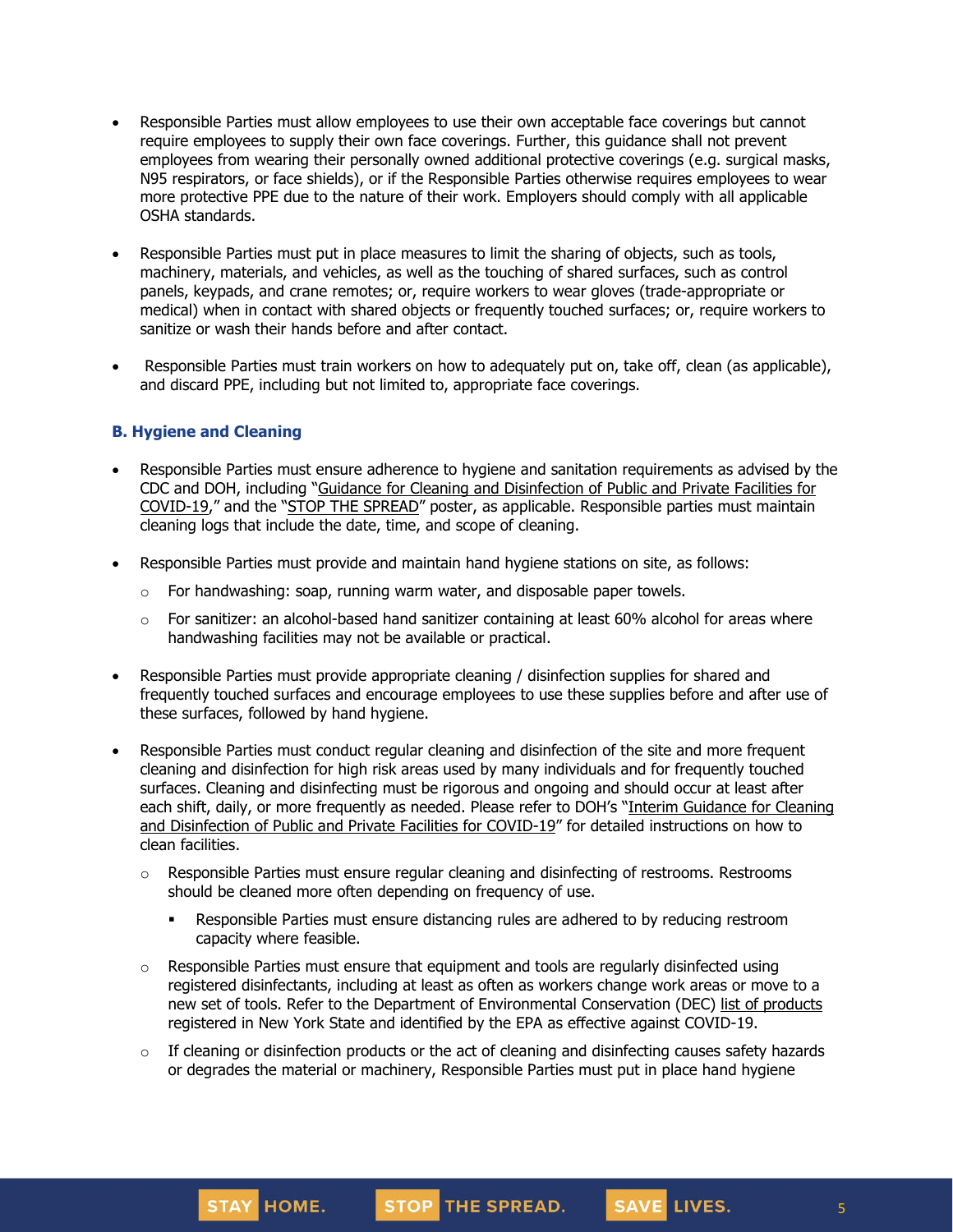- Responsible Parties must allow employees to use their own acceptable face coverings but cannot require employees to supply their own face coverings. Further, this guidance shall not prevent employees from wearing their personally owned additional protective coverings (e.g. surgical masks, N95 respirators, or face shields), or if the Responsible Parties otherwise requires employees to wear more protective PPE due to the nature of their work. Employers should comply with all applicable OSHA standards.
- Responsible Parties must put in place measures to limit the sharing of objects, such as tools, machinery, materials, and vehicles, as well as the touching of shared surfaces, such as control panels, keypads, and crane remotes; or, require workers to wear gloves (trade-appropriate or medical) when in contact with shared objects or frequently touched surfaces; or, require workers to sanitize or wash their hands before and after contact.
- Responsible Parties must train workers on how to adequately put on, take off, clean (as applicable), and discard PPE, including but not limited to, appropriate face coverings.

### **B. Hygiene and Cleaning**

STAY HOME.

- Responsible Parties must ensure adherence to hygiene and sanitation requirements as advised by the CDC and DOH, including "Guidance for Cleaning and [Disinfection](https://coronavirus.health.ny.gov/system/files/documents/2020/03/cleaning_guidance_general_building.pdf) of Public and Private Facilities for [COVID-19](https://coronavirus.health.ny.gov/system/files/documents/2020/03/cleaning_guidance_general_building.pdf)," and the "STOP THE [SPREAD](https://coronavirus.health.ny.gov/system/files/documents/2020/04/13067_coronavirus_protectyourself_poster_042020.pdf)" poster, as applicable. Responsible parties must maintain cleaning logs that include the date, time, and scope of cleaning.
- Responsible Parties must provide and maintain hand hygiene stations on site, as follows:
	- $\circ$  For handwashing: soap, running warm water, and disposable paper towels.
	- $\circ$  For sanitizer: an alcohol-based hand sanitizer containing at least 60% alcohol for areas where handwashing facilities may not be available or practical.
- Responsible Parties must provide appropriate cleaning / disinfection supplies for shared and frequently touched surfaces and encourage employees to use these supplies before and after use of these surfaces, followed by hand hygiene.
- Responsible Parties must conduct regular cleaning and disinfection of the site and more frequent cleaning and disinfection for high risk areas used by many individuals and for frequently touched surfaces. Cleaning and disinfecting must be rigorous and ongoing and should occur at least after each shift, daily, or more frequently as needed. Please refer to DOH's "Interim [Guidance](https://coronavirus.health.ny.gov/system/files/documents/2020/03/cleaning_guidance_general_building.pdf) for Cleaning and [Disinfection](https://coronavirus.health.ny.gov/system/files/documents/2020/03/cleaning_guidance_general_building.pdf) of Public and Private Facilities for COVID-19" for detailed instructions on how to clean facilities.
	- o Responsible Parties must ensure regular cleaning and disinfecting of restrooms. Restrooms should be cleaned more often depending on frequency of use.
		- **•** Responsible Parties must ensure distancing rules are adhered to by reducing restroom capacity where feasible.
	- o Responsible Parties must ensure that equipment and tools are regularly disinfected using registered disinfectants, including at least as often as workers change work areas or move to a new set of tools. Refer to the Department of Environmental Conservation (DEC) list of [products](http://www.dec.ny.gov/docs/materials_minerals_pdf/covid19.pdf) registered in New York State and identified by the EPA as effective against COVID-19.
	- $\circ$  If cleaning or disinfection products or the act of cleaning and disinfecting causes safety hazards or degrades the material or machinery, Responsible Parties must put in place hand hygiene

STOP THE SPREAD.

5

SAVE LIVES.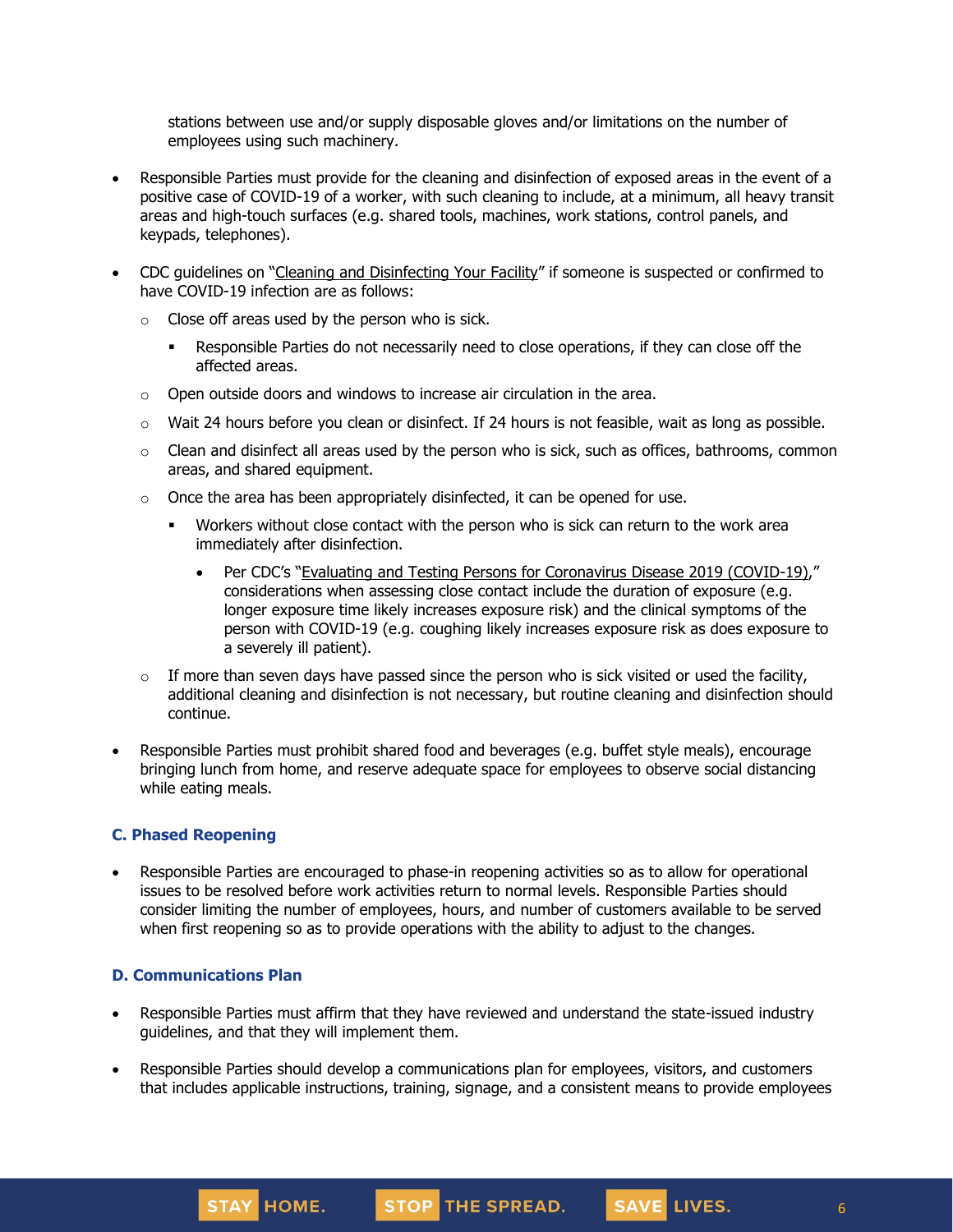stations between use and/or supply disposable gloves and/or limitations on the number of employees using such machinery.

- Responsible Parties must provide for the cleaning and disinfection of exposed areas in the event of a positive case of COVID-19 of a worker, with such cleaning to include, at a minimum, all heavy transit areas and high-touch surfaces (e.g. shared tools, machines, work stations, control panels, and keypads, telephones).
- CDC guidelines on "Cleaning and [Disinfecting](https://www.cdc.gov/coronavirus/2019-ncov/community/disinfecting-building-facility.html) Your Facility" if someone is suspected or confirmed to have COVID-19 infection are as follows:
	- $\circ$  Close off areas used by the person who is sick.
		- Responsible Parties do not necessarily need to close operations, if they can close off the affected areas.
	- $\circ$  Open outside doors and windows to increase air circulation in the area.
	- $\circ$  Wait 24 hours before you clean or disinfect. If 24 hours is not feasible, wait as long as possible.
	- $\circ$  Clean and disinfect all areas used by the person who is sick, such as offices, bathrooms, common areas, and shared equipment.
	- $\circ$  Once the area has been appropriately disinfected, it can be opened for use.
		- **■** Workers without close contact with the person who is sick can return to the work area immediately after disinfection.
			- Per CDC's "Evaluating and Testing Persons for [Coronavirus](https://www.cdc.gov/coronavirus/2019-ncov/hcp/clinical-criteria.html) Disease 2019 (COVID-19)," considerations when assessing close contact include the duration of exposure (e.g. longer exposure time likely increases exposure risk) and the clinical symptoms of the person with COVID-19 (e.g. coughing likely increases exposure risk as does exposure to a severely ill patient).
	- $\circ$  If more than seven days have passed since the person who is sick visited or used the facility, additional cleaning and disinfection is not necessary, but routine cleaning and disinfection should continue.
- Responsible Parties must prohibit shared food and beverages (e.g. buffet style meals), encourage bringing lunch from home, and reserve adequate space for employees to observe social distancing while eating meals.

#### **C. Phased Reopening**

• Responsible Parties are encouraged to phase-in reopening activities so as to allow for operational issues to be resolved before work activities return to normal levels. Responsible Parties should consider limiting the number of employees, hours, and number of customers available to be served when first reopening so as to provide operations with the ability to adjust to the changes.

#### **D. Communications Plan**

STAY HOME.

- Responsible Parties must affirm that they have reviewed and understand the state-issued industry guidelines, and that they will implement them.
- Responsible Parties should develop a communications plan for employees, visitors, and customers that includes applicable instructions, training, signage, and a consistent means to provide employees

STOP THE SPREAD.

SAVE LIVES.

6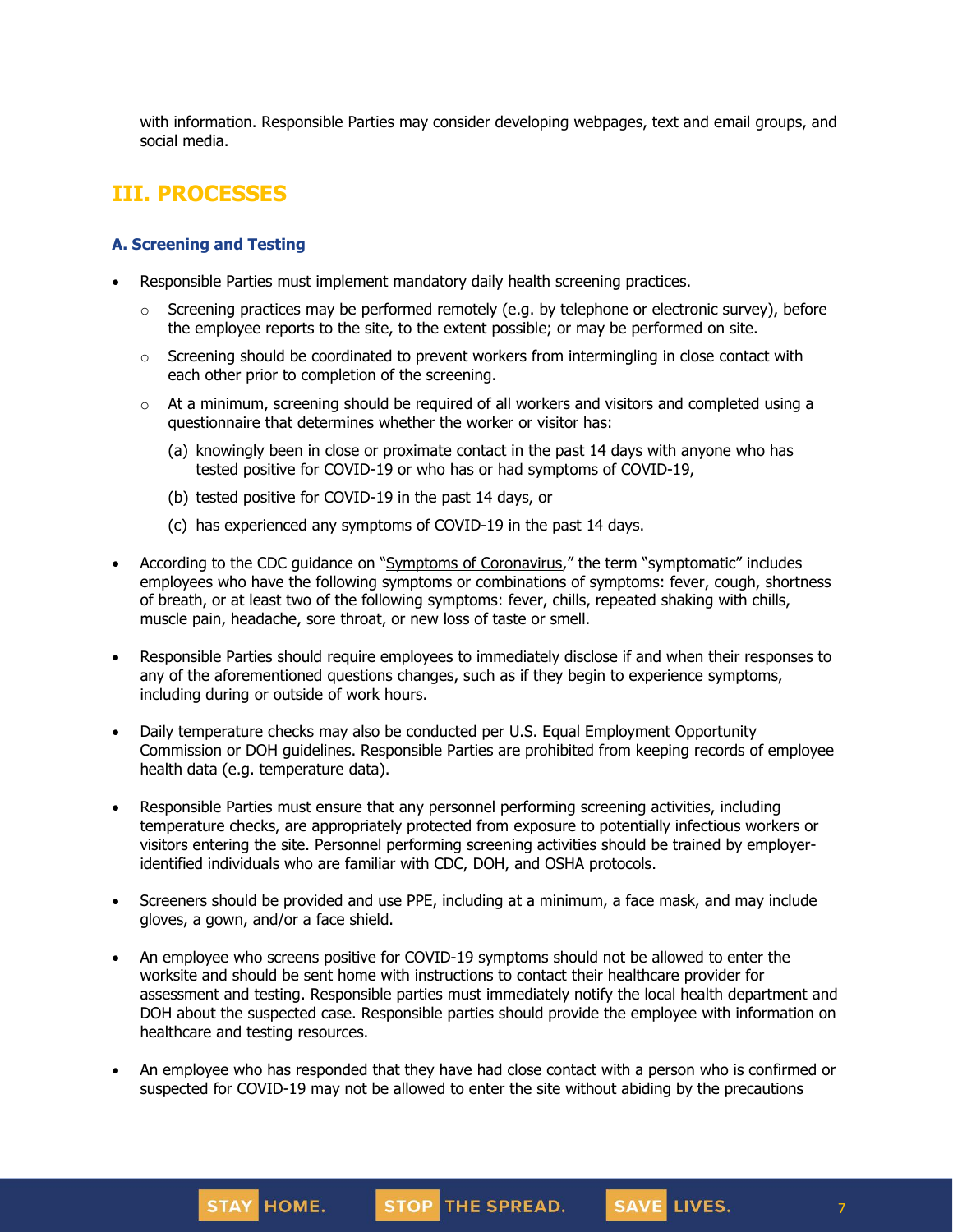with information. Responsible Parties may consider developing webpages, text and email groups, and social media.

## **III. PROCESSES**

### **A. Screening and Testing**

- Responsible Parties must implement mandatory daily health screening practices.
	- $\circ$  Screening practices may be performed remotely (e.g. by telephone or electronic survey), before the employee reports to the site, to the extent possible; or may be performed on site.
	- $\circ$  Screening should be coordinated to prevent workers from intermingling in close contact with each other prior to completion of the screening.
	- $\circ$  At a minimum, screening should be required of all workers and visitors and completed using a questionnaire that determines whether the worker or visitor has:
		- (a) knowingly been in close or proximate contact in the past 14 days with anyone who has tested positive for COVID-19 or who has or had symptoms of COVID-19,
		- (b) tested positive for COVID-19 in the past 14 days, or
		- (c) has experienced any symptoms of COVID-19 in the past 14 days.
- According to the CDC guidance on "Symptoms of [Coronavirus](https://www.cdc.gov/coronavirus/2019-ncov/symptoms-testing/symptoms.html)," the term "symptomatic" includes employees who have the following symptoms or combinations of symptoms: fever, cough, shortness of breath, or at least two of the following symptoms: fever, chills, repeated shaking with chills, muscle pain, headache, sore throat, or new loss of taste or smell.
- Responsible Parties should require employees to immediately disclose if and when their responses to any of the aforementioned questions changes, such as if they begin to experience symptoms, including during or outside of work hours.
- Daily temperature checks may also be conducted per U.S. Equal Employment Opportunity Commission or DOH guidelines. Responsible Parties are prohibited from keeping records of employee health data (e.g. temperature data).
- Responsible Parties must ensure that any personnel performing screening activities, including temperature checks, are appropriately protected from exposure to potentially infectious workers or visitors entering the site. Personnel performing screening activities should be trained by employeridentified individuals who are familiar with CDC, DOH, and OSHA protocols.
- Screeners should be provided and use PPE, including at a minimum, a face mask, and may include gloves, a gown, and/or a face shield.
- An employee who screens positive for COVID-19 symptoms should not be allowed to enter the worksite and should be sent home with instructions to contact their healthcare provider for assessment and testing. Responsible parties must immediately notify the local health department and DOH about the suspected case. Responsible parties should provide the employee with information on healthcare and testing resources.
- An employee who has responded that they have had close contact with a person who is confirmed or suspected for COVID-19 may not be allowed to enter the site without abiding by the precautions

STOP THE SPREAD.

SAVE LIVES.

STAY HOME.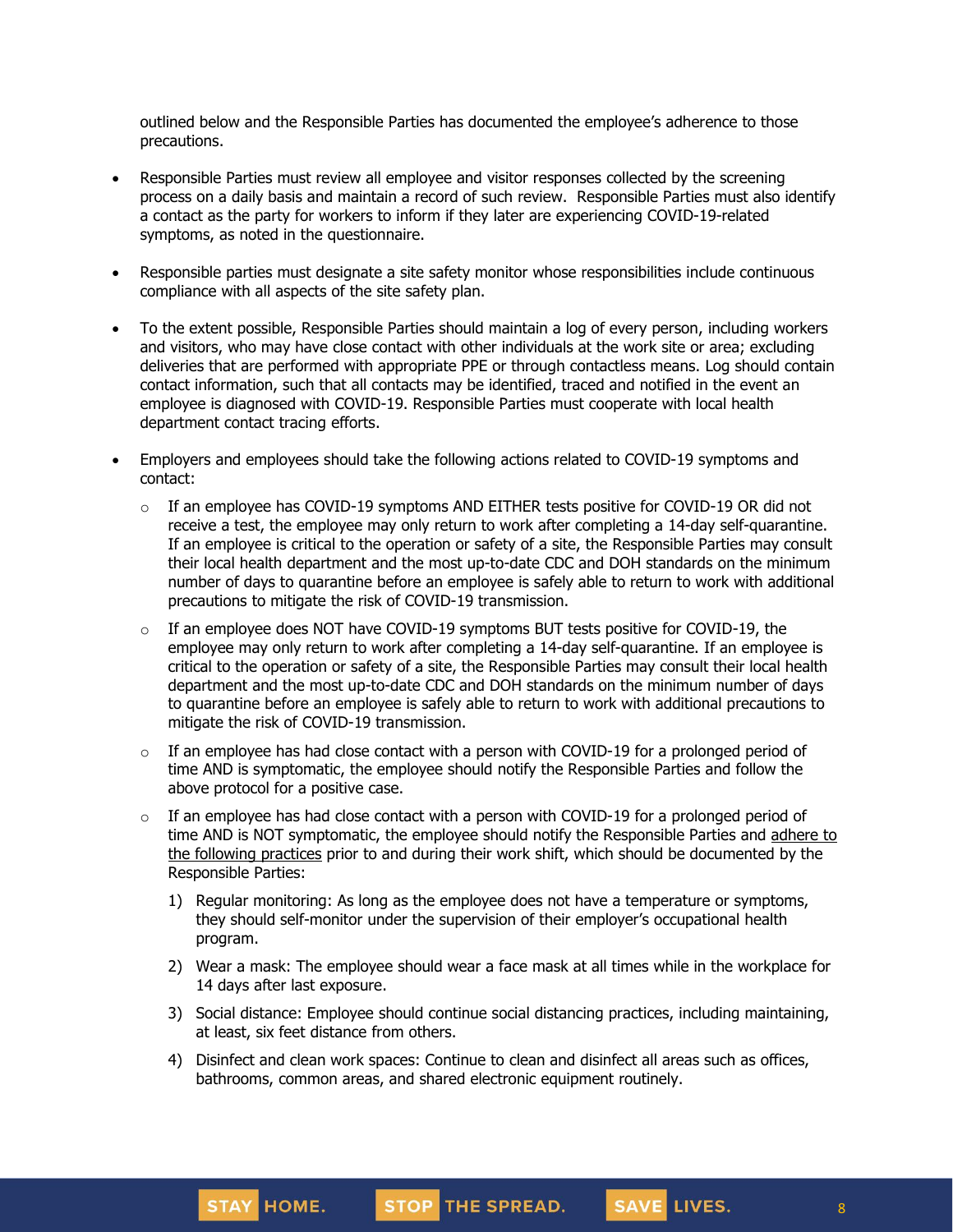outlined below and the Responsible Parties has documented the employee's adherence to those precautions.

- Responsible Parties must review all employee and visitor responses collected by the screening process on a daily basis and maintain a record of such review. Responsible Parties must also identify a contact as the party for workers to inform if they later are experiencing COVID-19-related symptoms, as noted in the questionnaire.
- Responsible parties must designate a site safety monitor whose responsibilities include continuous compliance with all aspects of the site safety plan.
- To the extent possible, Responsible Parties should maintain a log of every person, including workers and visitors, who may have close contact with other individuals at the work site or area; excluding deliveries that are performed with appropriate PPE or through contactless means. Log should contain contact information, such that all contacts may be identified, traced and notified in the event an employee is diagnosed with COVID-19. Responsible Parties must cooperate with local health department contact tracing efforts.
- Employers and employees should take the following actions related to COVID-19 symptoms and contact:
	- $\circ$  If an employee has COVID-19 symptoms AND EITHER tests positive for COVID-19 OR did not receive a test, the employee may only [return](https://www.cdc.gov/coronavirus/2019-ncov/hcp/return-to-work.html) to work after completing a 14-day self-quarantine. If an employee is critical to the operation or safety of a site, the Responsible Parties may consult their local health department and the most up-to-date CDC and DOH standards on the minimum number of days to quarantine before an employee is safely able to return to work with additional precautions to mitigate the risk of COVID-19 transmission.
	- $\circ$  If an employee does NOT have COVID-19 symptoms BUT tests positive for COVID-19, the employee may only return to work after completing a 14-day self-quarantine. If an employee is critical to the operation or safety of a site, the Responsible Parties may consult their local health department and the most up-to-date CDC and DOH standards on the minimum number of days to quarantine before an employee is safely able to return to work with additional precautions to mitigate the risk of COVID-19 transmission.
	- $\circ$  If an employee has had close contact with a person with COVID-19 for a prolonged period of time AND is symptomatic, the employee should notify the Responsible Parties and follow the above protocol for a positive case.
	- $\circ$  If an employee has had close contact with a person with COVID-19 for a prolonged period of time AND is NOT symptomatic, the employee should notify the Responsible Parties and [adhere](https://www.cdc.gov/coronavirus/2019-ncov/community/critical-workers/implementing-safety-practices.html) to the [following](https://www.cdc.gov/coronavirus/2019-ncov/community/critical-workers/implementing-safety-practices.html) practices prior to and during their work shift, which should be documented by the Responsible Parties:
		- 1) Regular monitoring: As long as the employee does not have a temperature or symptoms, they should self-monitor under the supervision of their employer's occupational health program.
		- 2) Wear a mask: The employee should wear a face mask at all times while in the workplace for 14 days after last exposure.
		- 3) Social distance: Employee should continue social distancing practices, including maintaining, at least, six feet distance from others.
		- 4) Disinfect and clean work spaces: Continue to clean and disinfect all areas such as offices, bathrooms, common areas, and shared electronic equipment routinely.

SAVE LIVES.